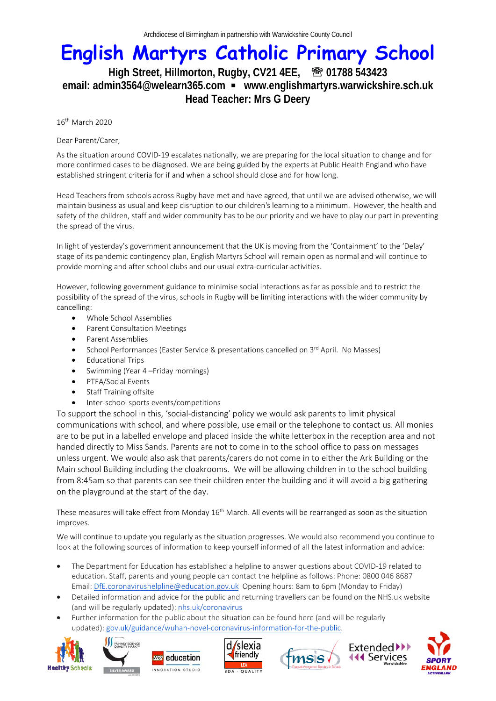## **English Martyrs Catholic Primary School**

## High Street, Hillmorton, Rugby, CV21 4EE, <sup>图 01788 543423</sup> **email: admin3564@welearn365.com www.englishmartyrs.warwickshire.sch.uk Head Teacher: Mrs G Deery**

16th March 2020

Dear Parent/Carer,

As the situation around COVID-19 escalates nationally, we are preparing for the local situation to change and for more confirmed cases to be diagnosed. We are being guided by the experts at Public Health England who have established stringent criteria for if and when a school should close and for how long.

Head Teachers from schools across Rugby have met and have agreed, that until we are advised otherwise, we will maintain business as usual and keep disruption to our children's learning to a minimum. However, the health and safety of the children, staff and wider community has to be our priority and we have to play our part in preventing the spread of the virus.

In light of yesterday's government announcement that the UK is moving from the 'Containment' to the 'Delay' stage of its pandemic contingency plan, English Martyrs School will remain open as normal and will continue to provide morning and after school clubs and our usual extra-curricular activities.

However, following government guidance to minimise social interactions as far as possible and to restrict the possibility of the spread of the virus, schools in Rugby will be limiting interactions with the wider community by cancelling:

- Whole School Assemblies
- Parent Consultation Meetings
- Parent Assemblies
- School Performances (Easter Service & presentations cancelled on 3<sup>rd</sup> April. No Masses)
- Educational Trips
- Swimming (Year 4 –Friday mornings)
- PTFA/Social Events
- **Staff Training offsite**
- Inter-school sports events/competitions

To support the school in this, 'social-distancing' policy we would ask parents to limit physical communications with school, and where possible, use email or the telephone to contact us. All monies are to be put in a labelled envelope and placed inside the white letterbox in the reception area and not handed directly to Miss Sands. Parents are not to come in to the school office to pass on messages unless urgent. We would also ask that parents/carers do not come in to either the Ark Building or the Main school Building including the cloakrooms. We will be allowing children in to the school building from 8:45am so that parents can see their children enter the building and it will avoid a big gathering on the playground at the start of the day.

These measures will take effect from Monday 16<sup>th</sup> March. All events will be rearranged as soon as the situation improves.

We will continue to update you regularly as the situation progresses. We would also recommend you continue to look at the following sources of information to keep yourself informed of all the latest information and advice:

- The Department for Education has established a helpline to answer questions about COVID-19 related to education. Staff, parents and young people can contact the helpline as follows: Phone: 0800 046 8687 Email: DfE.coronavirushelpline@education.gov.uk Opening hours: 8am to 6pm (Monday to Friday)
- Detailed information and advice for the public and returning travellers can be found on the NHS.uk website (and will be regularly updated): nhs.uk/coronavirus
- Further information for the public about the situation can be found here (and will be regularly updated): gov.uk/guidance/wuhan-novel-coronavirus-information-for-the-public.